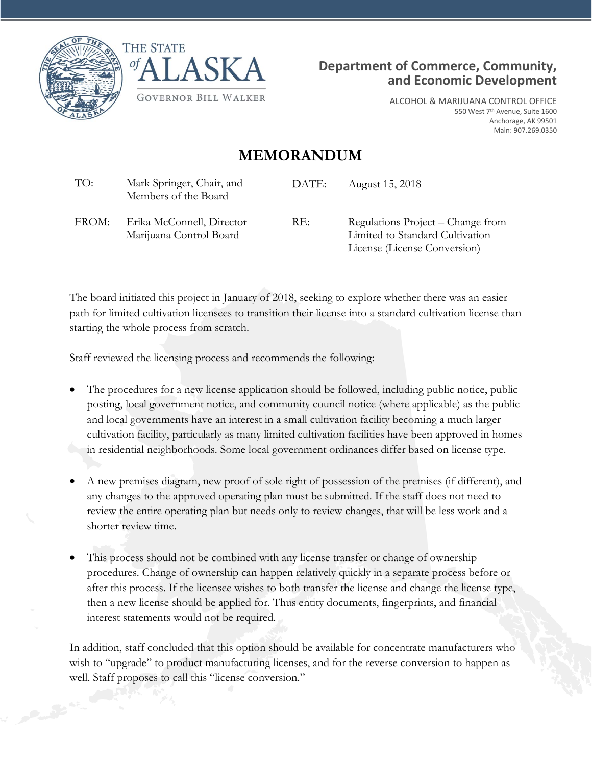





ALCOHOL & MARIJUANA CONTROL OFFICE 550 West 7<sup>th</sup> Avenue, Suite 1600 Anchorage, AK 99501 Main: 907.269.0350

## **MEMORANDUM**

| TO:   | Mark Springer, Chair, and<br>Members of the Board    | DATE: | August 15, 2018                                                                                      |
|-------|------------------------------------------------------|-------|------------------------------------------------------------------------------------------------------|
| FROM: | Erika McConnell, Director<br>Marijuana Control Board | RE:   | Regulations Project – Change from<br>Limited to Standard Cultivation<br>License (License Conversion) |

The board initiated this project in January of 2018, seeking to explore whether there was an easier path for limited cultivation licensees to transition their license into a standard cultivation license than starting the whole process from scratch.

Staff reviewed the licensing process and recommends the following:

- The procedures for a new license application should be followed, including public notice, public posting, local government notice, and community council notice (where applicable) as the public and local governments have an interest in a small cultivation facility becoming a much larger cultivation facility, particularly as many limited cultivation facilities have been approved in homes in residential neighborhoods. Some local government ordinances differ based on license type.
- A new premises diagram, new proof of sole right of possession of the premises (if different), and any changes to the approved operating plan must be submitted. If the staff does not need to review the entire operating plan but needs only to review changes, that will be less work and a shorter review time.
- This process should not be combined with any license transfer or change of ownership procedures. Change of ownership can happen relatively quickly in a separate process before or after this process. If the licensee wishes to both transfer the license and change the license type, then a new license should be applied for. Thus entity documents, fingerprints, and financial interest statements would not be required.

In addition, staff concluded that this option should be available for concentrate manufacturers who wish to "upgrade" to product manufacturing licenses, and for the reverse conversion to happen as well. Staff proposes to call this "license conversion."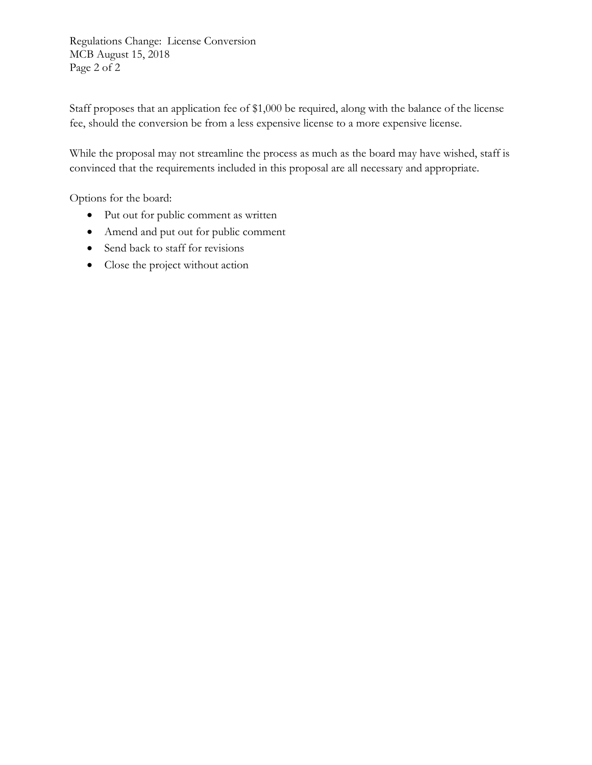Regulations Change: License Conversion MCB August 15, 2018 Page 2 of 2

Staff proposes that an application fee of \$1,000 be required, along with the balance of the license fee, should the conversion be from a less expensive license to a more expensive license.

While the proposal may not streamline the process as much as the board may have wished, staff is convinced that the requirements included in this proposal are all necessary and appropriate.

Options for the board:

- Put out for public comment as written
- Amend and put out for public comment
- Send back to staff for revisions
- Close the project without action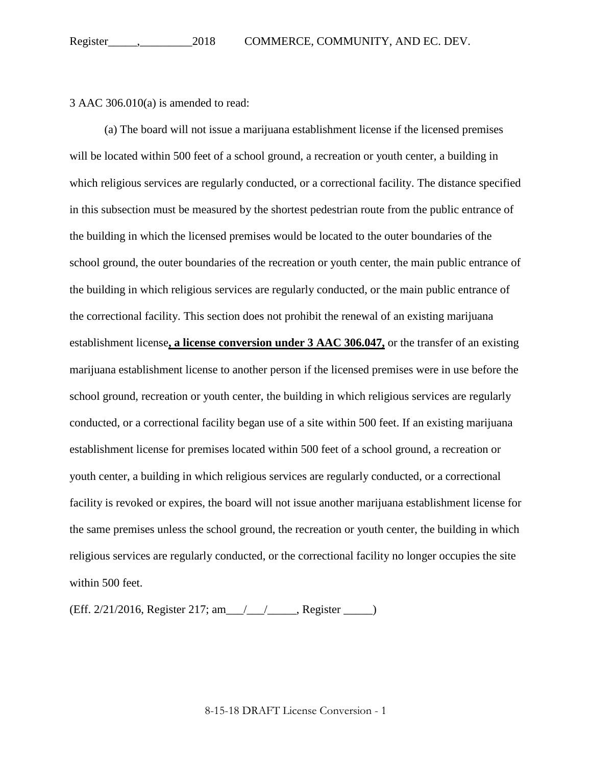3 AAC 306.010(a) is amended to read:

(a) The board will not issue a marijuana establishment license if the licensed premises will be located within 500 feet of a school ground, a recreation or youth center, a building in which religious services are regularly conducted, or a correctional facility. The distance specified in this subsection must be measured by the shortest pedestrian route from the public entrance of the building in which the licensed premises would be located to the outer boundaries of the school ground, the outer boundaries of the recreation or youth center, the main public entrance of the building in which religious services are regularly conducted, or the main public entrance of the correctional facility. This section does not prohibit the renewal of an existing marijuana establishment license**, a license conversion under 3 AAC 306.047,** or the transfer of an existing marijuana establishment license to another person if the licensed premises were in use before the school ground, recreation or youth center, the building in which religious services are regularly conducted, or a correctional facility began use of a site within 500 feet. If an existing marijuana establishment license for premises located within 500 feet of a school ground, a recreation or youth center, a building in which religious services are regularly conducted, or a correctional facility is revoked or expires, the board will not issue another marijuana establishment license for the same premises unless the school ground, the recreation or youth center, the building in which religious services are regularly conducted, or the correctional facility no longer occupies the site within 500 feet.

(Eff. 2/21/2016, Register 217; am\_\_\_/\_\_\_/\_\_\_\_\_, Register \_\_\_\_\_)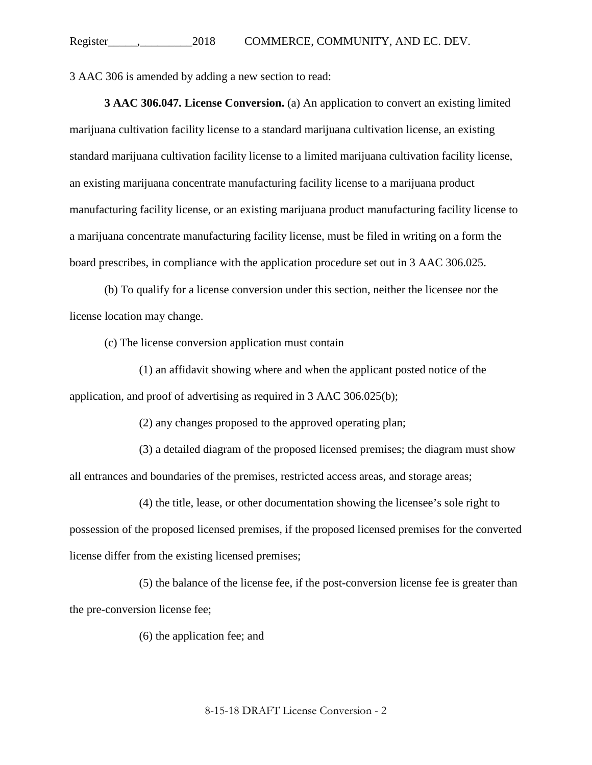3 AAC 306 is amended by adding a new section to read:

**3 AAC 306.047. License Conversion.** (a) An application to convert an existing limited marijuana cultivation facility license to a standard marijuana cultivation license, an existing standard marijuana cultivation facility license to a limited marijuana cultivation facility license, an existing marijuana concentrate manufacturing facility license to a marijuana product manufacturing facility license, or an existing marijuana product manufacturing facility license to a marijuana concentrate manufacturing facility license, must be filed in writing on a form the board prescribes, in compliance with the application procedure set out in 3 AAC 306.025.

(b) To qualify for a license conversion under this section, neither the licensee nor the license location may change.

(c) The license conversion application must contain

(1) an affidavit showing where and when the applicant posted notice of the application, and proof of advertising as required in 3 AAC 306.025(b);

(2) any changes proposed to the approved operating plan;

(3) a detailed diagram of the proposed licensed premises; the diagram must show all entrances and boundaries of the premises, restricted access areas, and storage areas;

(4) the title, lease, or other documentation showing the licensee's sole right to possession of the proposed licensed premises, if the proposed licensed premises for the converted license differ from the existing licensed premises;

(5) the balance of the license fee, if the post-conversion license fee is greater than the pre-conversion license fee;

(6) the application fee; and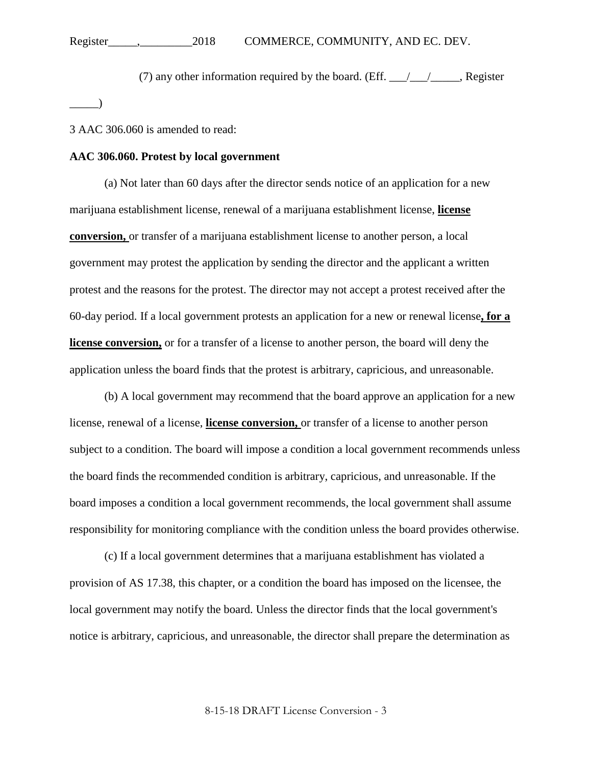(7) any other information required by the board. (Eff.  $\frac{\sqrt{2}}{2}$ , Register

3 AAC 306.060 is amended to read:

 $\rule{1em}{0.15mm}$ 

## **AAC 306.060. Protest by local government**

(a) Not later than 60 days after the director sends notice of an application for a new marijuana establishment license, renewal of a marijuana establishment license, **license conversion,** or transfer of a marijuana establishment license to another person, a local government may protest the application by sending the director and the applicant a written protest and the reasons for the protest. The director may not accept a protest received after the 60-day period. If a local government protests an application for a new or renewal license**, for a license conversion,** or for a transfer of a license to another person, the board will deny the application unless the board finds that the protest is arbitrary, capricious, and unreasonable.

(b) A local government may recommend that the board approve an application for a new license, renewal of a license, **license conversion,** or transfer of a license to another person subject to a condition. The board will impose a condition a local government recommends unless the board finds the recommended condition is arbitrary, capricious, and unreasonable. If the board imposes a condition a local government recommends, the local government shall assume responsibility for monitoring compliance with the condition unless the board provides otherwise.

(c) If a local government determines that a marijuana establishment has violated a provision of AS 17.38, this chapter, or a condition the board has imposed on the licensee, the local government may notify the board. Unless the director finds that the local government's notice is arbitrary, capricious, and unreasonable, the director shall prepare the determination as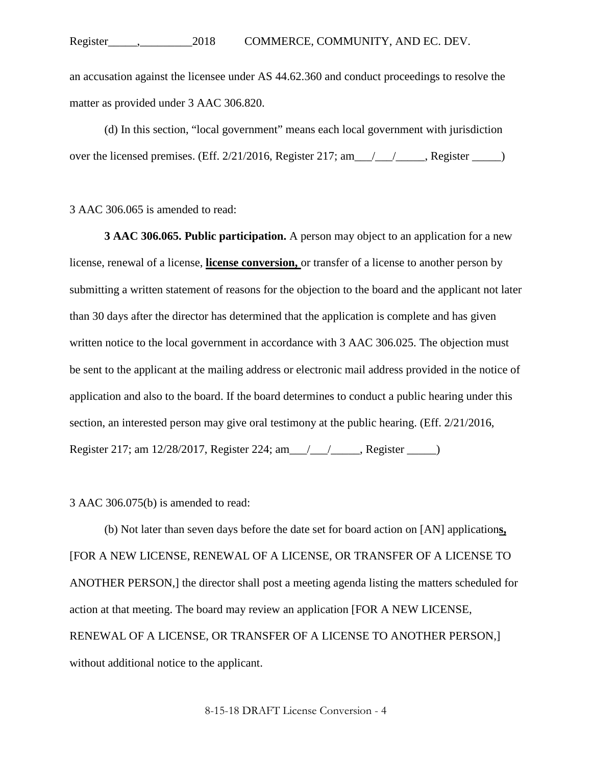an accusation against the licensee under AS 44.62.360 and conduct proceedings to resolve the matter as provided under 3 AAC 306.820.

(d) In this section, "local government" means each local government with jurisdiction over the licensed premises. (Eff. 2/21/2016, Register 217; am \_\_\_/\_\_\_\_\_\_, Register \_\_\_\_\_)

3 AAC 306.065 is amended to read:

**3 AAC 306.065. Public participation.** A person may object to an application for a new license, renewal of a license, **license conversion,** or transfer of a license to another person by submitting a written statement of reasons for the objection to the board and the applicant not later than 30 days after the director has determined that the application is complete and has given written notice to the local government in accordance with 3 AAC 306.025. The objection must be sent to the applicant at the mailing address or electronic mail address provided in the notice of application and also to the board. If the board determines to conduct a public hearing under this section, an interested person may give oral testimony at the public hearing. (Eff. 2/21/2016, Register 217; am 12/28/2017, Register 224; am\_\_\_/\_\_\_/\_\_\_\_\_, Register \_\_\_\_\_)

3 AAC 306.075(b) is amended to read:

(b) Not later than seven days before the date set for board action on [AN] application**s,** [FOR A NEW LICENSE, RENEWAL OF A LICENSE, OR TRANSFER OF A LICENSE TO ANOTHER PERSON,] the director shall post a meeting agenda listing the matters scheduled for action at that meeting. The board may review an application [FOR A NEW LICENSE, RENEWAL OF A LICENSE, OR TRANSFER OF A LICENSE TO ANOTHER PERSON,] without additional notice to the applicant.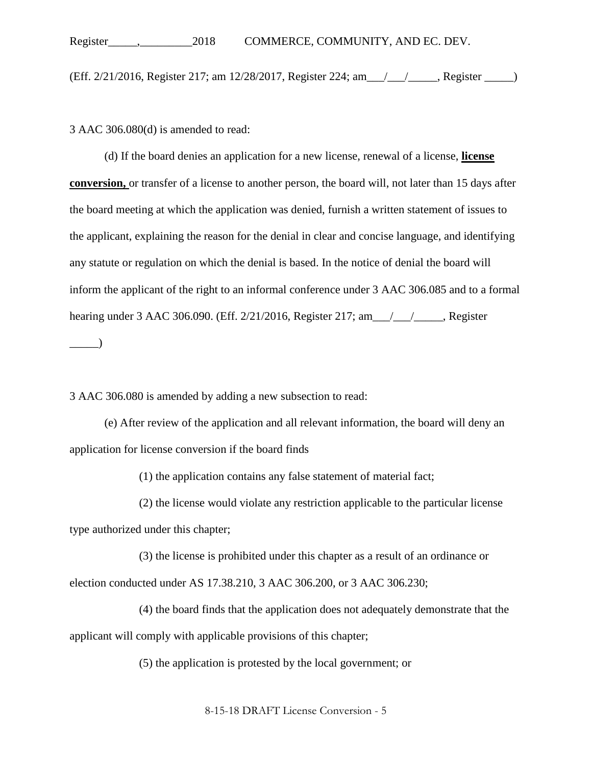(Eff. 2/21/2016, Register 217; am 12/28/2017, Register 224; am\_\_\_/\_\_\_/\_\_\_\_\_, Register \_\_\_\_\_)

3 AAC 306.080(d) is amended to read:

(d) If the board denies an application for a new license, renewal of a license, **license conversion,** or transfer of a license to another person, the board will, not later than 15 days after the board meeting at which the application was denied, furnish a written statement of issues to the applicant, explaining the reason for the denial in clear and concise language, and identifying any statute or regulation on which the denial is based. In the notice of denial the board will inform the applicant of the right to an informal conference under 3 AAC 306.085 and to a formal hearing under 3 AAC 306.090. (Eff. 2/21/2016, Register 217; am\_\_\_/\_\_\_/\_\_\_\_, Register  $\Box$ )

3 AAC 306.080 is amended by adding a new subsection to read:

(e) After review of the application and all relevant information, the board will deny an application for license conversion if the board finds

(1) the application contains any false statement of material fact;

(2) the license would violate any restriction applicable to the particular license type authorized under this chapter;

(3) the license is prohibited under this chapter as a result of an ordinance or election conducted under AS 17.38.210, 3 AAC 306.200, or 3 AAC 306.230;

(4) the board finds that the application does not adequately demonstrate that the applicant will comply with applicable provisions of this chapter;

(5) the application is protested by the local government; or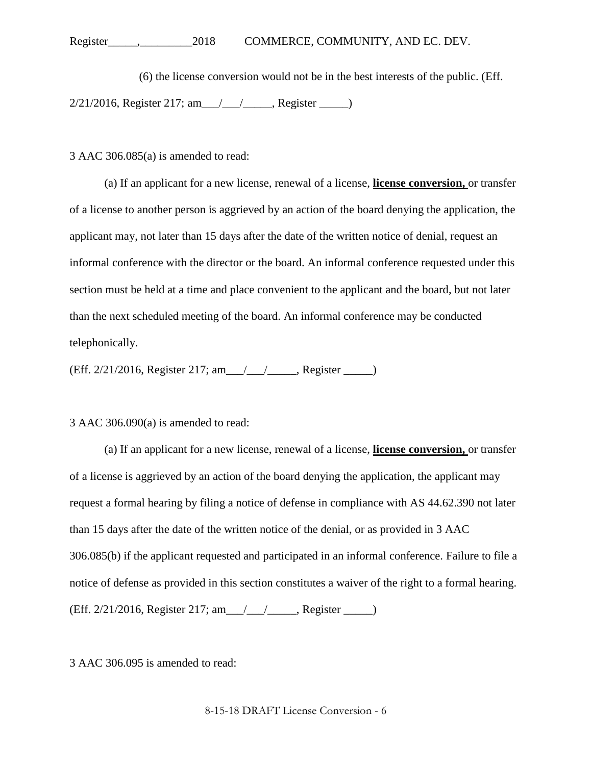Register\_\_\_\_\_,\_\_\_\_\_\_\_\_\_2018 COMMERCE, COMMUNITY, AND EC. DEV.

(6) the license conversion would not be in the best interests of the public. (Eff. 2/21/2016, Register 217; am\_\_\_/\_\_\_/\_\_\_\_\_, Register \_\_\_\_\_)

3 AAC 306.085(a) is amended to read:

(a) If an applicant for a new license, renewal of a license, **license conversion,** or transfer of a license to another person is aggrieved by an action of the board denying the application, the applicant may, not later than 15 days after the date of the written notice of denial, request an informal conference with the director or the board. An informal conference requested under this section must be held at a time and place convenient to the applicant and the board, but not later than the next scheduled meeting of the board. An informal conference may be conducted telephonically.

(Eff. 2/21/2016, Register 217; am\_\_\_/\_\_\_/\_\_\_\_\_, Register \_\_\_\_\_)

3 AAC 306.090(a) is amended to read:

(a) If an applicant for a new license, renewal of a license, **license conversion,** or transfer of a license is aggrieved by an action of the board denying the application, the applicant may request a formal hearing by filing a notice of defense in compliance with AS 44.62.390 not later than 15 days after the date of the written notice of the denial, or as provided in 3 AAC 306.085(b) if the applicant requested and participated in an informal conference. Failure to file a notice of defense as provided in this section constitutes a waiver of the right to a formal hearing. (Eff. 2/21/2016, Register 217; am\_\_\_/\_\_\_/\_\_\_\_\_, Register \_\_\_\_\_)

3 AAC 306.095 is amended to read: